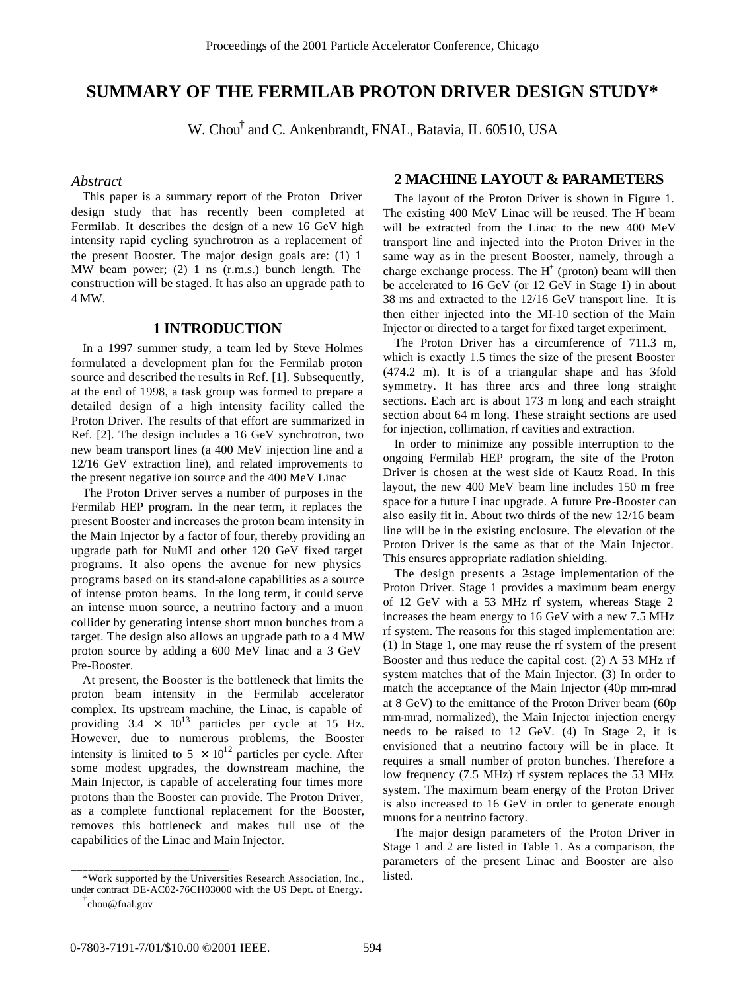# **SUMMARY OF THE FERMILAB PROTON DRIVER DESIGN STUDY\***

W. Chou† and C. Ankenbrandt, FNAL, Batavia, IL 60510, USA

#### *Abstract*

This paper is a summary report of the Proton Driver design study that has recently been completed at Fermilab. It describes the design of a new 16 GeV high intensity rapid cycling synchrotron as a replacement of the present Booster. The major design goals are: (1) 1 MW beam power; (2) 1 ns (r.m.s.) bunch length. The construction will be staged. It has also an upgrade path to 4 MW.

#### **1 INTRODUCTION**

In a 1997 summer study, a team led by Steve Holmes formulated a development plan for the Fermilab proton source and described the results in Ref. [1]. Subsequently, at the end of 1998, a task group was formed to prepare a detailed design of a high intensity facility called the Proton Driver. The results of that effort are summarized in Ref. [2]. The design includes a 16 GeV synchrotron, two new beam transport lines (a 400 MeV injection line and a 12/16 GeV extraction line), and related improvements to the present negative ion source and the 400 MeV Linac

The Proton Driver serves a number of purposes in the Fermilab HEP program. In the near term, it replaces the present Booster and increases the proton beam intensity in the Main Injector by a factor of four, thereby providing an upgrade path for NuMI and other 120 GeV fixed target programs. It also opens the avenue for new physics programs based on its stand-alone capabilities as a source of intense proton beams. In the long term, it could serve an intense muon source, a neutrino factory and a muon collider by generating intense short muon bunches from a target. The design also allows an upgrade path to a 4 MW proton source by adding a 600 MeV linac and a 3 GeV Pre-Booster.

At present, the Booster is the bottleneck that limits the proton beam intensity in the Fermilab accelerator complex. Its upstream machine, the Linac, is capable of providing  $3.4 \times 10^{13}$  particles per cycle at 15 Hz. However, due to numerous problems, the Booster intensity is limited to  $5 \times 10^{12}$  particles per cycle. After some modest upgrades, the downstream machine, the Main Injector, is capable of accelerating four times more protons than the Booster can provide. The Proton Driver, as a complete functional replacement for the Booster, removes this bottleneck and makes full use of the capabilities of the Linac and Main Injector.

## **2 MACHINE LAYOUT & PARAMETERS**

The layout of the Proton Driver is shown in Figure 1. The existing 400 MeV Linac will be reused. The H beam will be extracted from the Linac to the new 400 MeV transport line and injected into the Proton Driver in the same way as in the present Booster, namely, through a charge exchange process. The  $H^+$  (proton) beam will then be accelerated to 16 GeV (or 12 GeV in Stage 1) in about 38 ms and extracted to the 12/16 GeV transport line. It is then either injected into the MI-10 section of the Main Injector or directed to a target for fixed target experiment.

The Proton Driver has a circumference of 711.3 m, which is exactly 1.5 times the size of the present Booster  $(474.2 \text{ m})$ . It is of a triangular shape and has 3fold symmetry. It has three arcs and three long straight sections. Each arc is about 173 m long and each straight section about 64 m long. These straight sections are used for injection, collimation, rf cavities and extraction.

In order to minimize any possible interruption to the ongoing Fermilab HEP program, the site of the Proton Driver is chosen at the west side of Kautz Road. In this layout, the new 400 MeV beam line includes 150 m free space for a future Linac upgrade. A future Pre-Booster can also easily fit in. About two thirds of the new 12/16 beam line will be in the existing enclosure. The elevation of the Proton Driver is the same as that of the Main Injector. This ensures appropriate radiation shielding.

The design presents a 2-stage implementation of the Proton Driver. Stage 1 provides a maximum beam energy of 12 GeV with a 53 MHz rf system, whereas Stage 2 increases the beam energy to 16 GeV with a new 7.5 MHz rf system. The reasons for this staged implementation are: (1) In Stage 1, one may reuse the rf system of the present Booster and thus reduce the capital cost. (2) A 53 MHz rf system matches that of the Main Injector. (3) In order to match the acceptance of the Main Injector (40p mm-mrad at 8 GeV) to the emittance of the Proton Driver beam (60p mm-mrad, normalized), the Main Injector injection energy needs to be raised to 12 GeV. (4) In Stage 2, it is envisioned that a neutrino factory will be in place. It requires a small number of proton bunches. Therefore a low frequency (7.5 MHz) rf system replaces the 53 MHz system. The maximum beam energy of the Proton Driver is also increased to 16 GeV in order to generate enough muons for a neutrino factory.

The major design parameters of the Proton Driver in Stage 1 and 2 are listed in Table 1. As a comparison, the parameters of the present Linac and Booster are also listed.

\_\_\_\_\_\_\_\_\_\_\_\_\_\_\_\_\_\_\_\_\_\_\_\_\_\_\_\_

<sup>\*</sup>Work supported by the Universities Research Association, Inc., under contract DE-AC02-76CH03000 with the US Dept. of Energy.

<sup>†</sup> chou@fnal.gov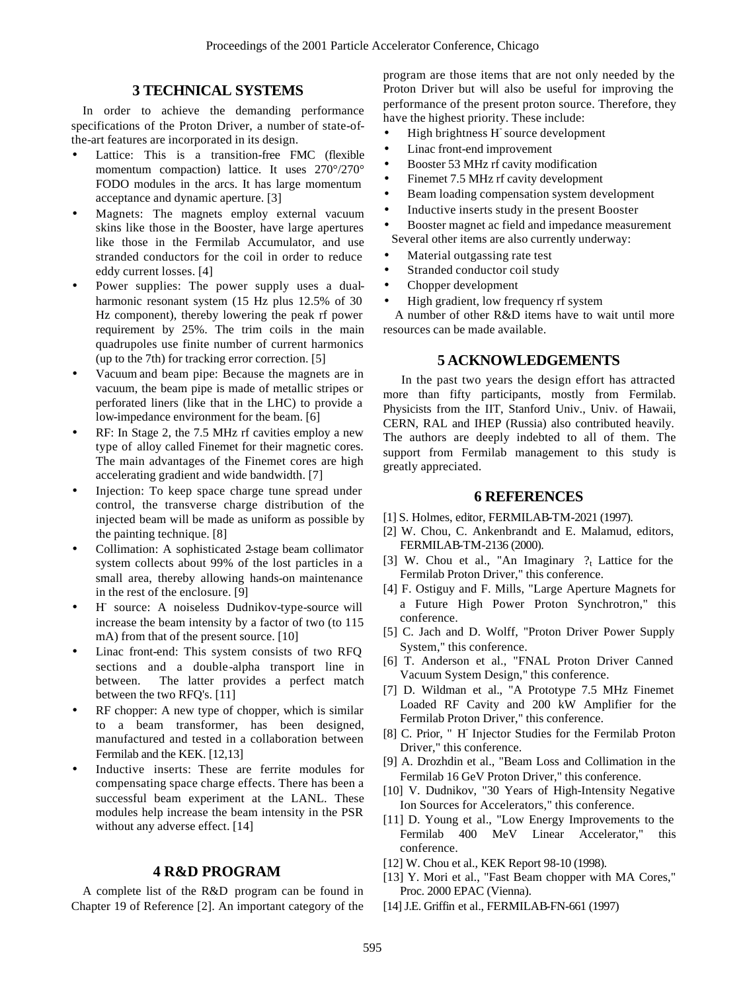## **3 TECHNICAL SYSTEMS**

In order to achieve the demanding performance specifications of the Proton Driver, a number of state-ofthe-art features are incorporated in its design.

- Lattice: This is a transition-free FMC (flexible momentum compaction) lattice. It uses 270°/270° FODO modules in the arcs. It has large momentum acceptance and dynamic aperture. [3]
- Magnets: The magnets employ external vacuum skins like those in the Booster, have large apertures like those in the Fermilab Accumulator, and use stranded conductors for the coil in order to reduce eddy current losses. [4]
- Power supplies: The power supply uses a dualharmonic resonant system (15 Hz plus 12.5% of 30 Hz component), thereby lowering the peak rf power requirement by 25%. The trim coils in the main quadrupoles use finite number of current harmonics (up to the 7th) for tracking error correction. [5]
- Vacuum and beam pipe: Because the magnets are in vacuum, the beam pipe is made of metallic stripes or perforated liners (like that in the LHC) to provide a low-impedance environment for the beam. [6]
- RF: In Stage 2, the 7.5 MHz rf cavities employ a new type of alloy called Finemet for their magnetic cores. The main advantages of the Finemet cores are high accelerating gradient and wide bandwidth. [7]
- Injection: To keep space charge tune spread under control, the transverse charge distribution of the injected beam will be made as uniform as possible by the painting technique. [8]
- Collimation: A sophisticated 2-stage beam collimator system collects about 99% of the lost particles in a small area, thereby allowing hands-on maintenance in the rest of the enclosure. [9]
- H- source: A noiseless Dudnikov-type-source will increase the beam intensity by a factor of two (to 115 mA) from that of the present source. [10]
- Linac front-end: This system consists of two RFQ sections and a double-alpha transport line in between. The latter provides a perfect match between the two RFQ's. [11]
- RF chopper: A new type of chopper, which is similar to a beam transformer, has been designed, manufactured and tested in a collaboration between Fermilab and the KEK. [12,13]
- Inductive inserts: These are ferrite modules for compensating space charge effects. There has been a successful beam experiment at the LANL. These modules help increase the beam intensity in the PSR without any adverse effect. [14]

### **4 R&D PROGRAM**

A complete list of the R&D program can be found in Chapter 19 of Reference [2]. An important category of the program are those items that are not only needed by the Proton Driver but will also be useful for improving the performance of the present proton source. Therefore, they have the highest priority. These include:

- High brightness H-source development
- Linac front-end improvement
- Booster 53 MHz rf cavity modification
- Finemet 7.5 MHz rf cavity development
- Beam loading compensation system development
- Inductive inserts study in the present Booster
- Booster magnet ac field and impedance measurement Several other items are also currently underway:
- Material outgassing rate test
- Stranded conductor coil study
- Chopper development
- High gradient, low frequency rf system

 A number of other R&D items have to wait until more resources can be made available.

## **5 ACKNOWLEDGEMENTS**

 In the past two years the design effort has attracted more than fifty participants, mostly from Fermilab. Physicists from the IIT, Stanford Univ., Univ. of Hawaii, CERN, RAL and IHEP (Russia) also contributed heavily. The authors are deeply indebted to all of them. The support from Fermilab management to this study is greatly appreciated.

#### **6 REFERENCES**

- [1] S. Holmes, editor, FERMILAB-TM-2021 (1997).
- [2] W. Chou, C. Ankenbrandt and E. Malamud, editors, FERMILAB-TM-2136 (2000).
- [3] W. Chou et al., "An Imaginary  $?$  Lattice for the Fermilab Proton Driver," this conference.
- [4] F. Ostiguy and F. Mills, "Large Aperture Magnets for a Future High Power Proton Synchrotron," this conference.
- [5] C. Jach and D. Wolff, "Proton Driver Power Supply System," this conference.
- [6] T. Anderson et al., "FNAL Proton Driver Canned Vacuum System Design," this conference.
- [7] D. Wildman et al., "A Prototype 7.5 MHz Finemet Loaded RF Cavity and 200 kW Amplifier for the Fermilab Proton Driver," this conference.
- [8] C. Prior, " H<sup>-</sup> Injector Studies for the Fermilab Proton Driver," this conference.
- [9] A. Drozhdin et al., "Beam Loss and Collimation in the Fermilab 16 GeV Proton Driver," this conference.
- [10] V. Dudnikov, "30 Years of High-Intensity Negative Ion Sources for Accelerators," this conference.
- [11] D. Young et al., "Low Energy Improvements to the Fermilab 400 MeV Linear Accelerator," this conference.
- [12] W. Chou et al., KEK Report 98-10 (1998).
- [13] Y. Mori et al., "Fast Beam chopper with MA Cores," Proc. 2000 EPAC (Vienna).
- [14] J.E. Griffin et al., FERMILAB-FN-661 (1997)